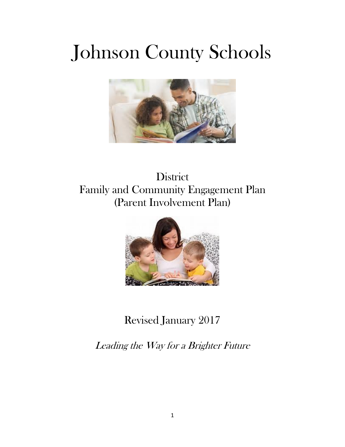# Johnson County Schools



## **District** Family and Community Engagement Plan (Parent Involvement Plan)



# Revised January 2017

Leading the Way for a Brighter Future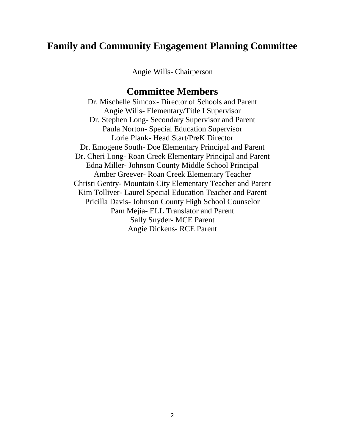## **Family and Community Engagement Planning Committee**

Angie Wills- Chairperson

## **Committee Members**

Dr. Mischelle Simcox- Director of Schools and Parent Angie Wills- Elementary/Title I Supervisor Dr. Stephen Long- Secondary Supervisor and Parent Paula Norton- Special Education Supervisor Lorie Plank- Head Start/PreK Director Dr. Emogene South- Doe Elementary Principal and Parent Dr. Cheri Long- Roan Creek Elementary Principal and Parent Edna Miller- Johnson County Middle School Principal Amber Greever- Roan Creek Elementary Teacher Christi Gentry- Mountain City Elementary Teacher and Parent Kim Tolliver- Laurel Special Education Teacher and Parent Pricilla Davis- Johnson County High School Counselor Pam Mejia- ELL Translator and Parent Sally Snyder- MCE Parent Angie Dickens- RCE Parent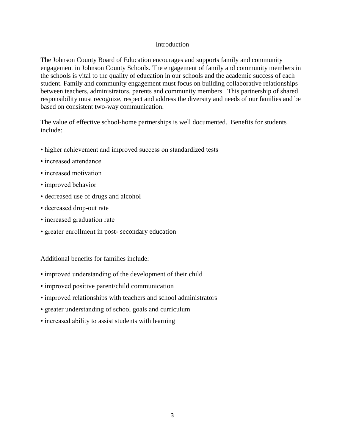#### Introduction

The Johnson County Board of Education encourages and supports family and community engagement in Johnson County Schools. The engagement of family and community members in the schools is vital to the quality of education in our schools and the academic success of each student. Family and community engagement must focus on building collaborative relationships between teachers, administrators, parents and community members. This partnership of shared responsibility must recognize, respect and address the diversity and needs of our families and be based on consistent two-way communication.

The value of effective school-home partnerships is well documented. Benefits for students include:

- higher achievement and improved success on standardized tests
- increased attendance
- increased motivation
- improved behavior
- decreased use of drugs and alcohol
- decreased drop-out rate
- increased graduation rate
- greater enrollment in post- secondary education

Additional benefits for families include:

- improved understanding of the development of their child
- improved positive parent/child communication
- improved relationships with teachers and school administrators
- greater understanding of school goals and curriculum
- increased ability to assist students with learning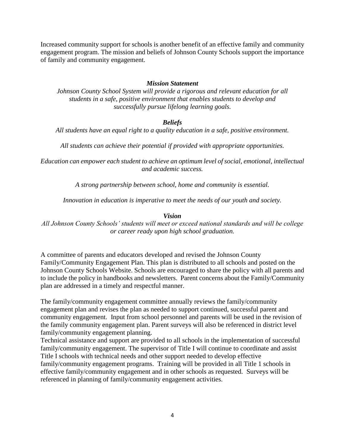Increased community support for schools is another benefit of an effective family and community engagement program. The mission and beliefs of Johnson County Schools support the importance of family and community engagement.

#### *Mission Statement*

*Johnson County School System will provide a rigorous and relevant education for all students in a safe, positive environment that enables students to develop and successfully pursue lifelong learning goals.*

#### *Beliefs*

*All students have an equal right to a quality education in a safe, positive environment.*

*All students can achieve their potential if provided with appropriate opportunities.*

*Education can empower each student to achieve an optimum level of social, emotional, intellectual and academic success.*

*A strong partnership between school, home and community is essential.*

*Innovation in education is imperative to meet the needs of our youth and society.*

#### *Vision*

*All Johnson County Schools' students will meet or exceed national standards and will be college or career ready upon high school graduation.*

A committee of parents and educators developed and revised the Johnson County Family/Community Engagement Plan. This plan is distributed to all schools and posted on the Johnson County Schools Website. Schools are encouraged to share the policy with all parents and to include the policy in handbooks and newsletters. Parent concerns about the Family/Community plan are addressed in a timely and respectful manner.

The family/community engagement committee annually reviews the family/community engagement plan and revises the plan as needed to support continued, successful parent and community engagement. Input from school personnel and parents will be used in the revision of the family community engagement plan. Parent surveys will also be referenced in district level family/community engagement planning.

Technical assistance and support are provided to all schools in the implementation of successful family/community engagement. The supervisor of Title I will continue to coordinate and assist Title I schools with technical needs and other support needed to develop effective family/community engagement programs. Training will be provided in all Title 1 schools in effective family/community engagement and in other schools as requested. Surveys will be referenced in planning of family/community engagement activities.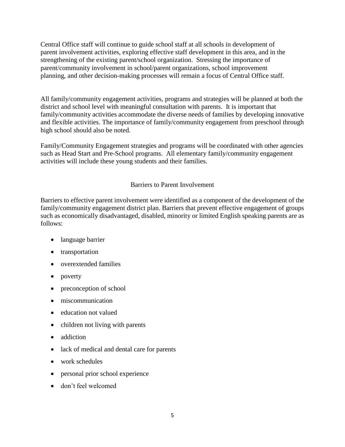Central Office staff will continue to guide school staff at all schools in development of parent involvement activities, exploring effective staff development in this area, and in the strengthening of the existing parent/school organization. Stressing the importance of parent/community involvement in school/parent organizations, school improvement planning, and other decision-making processes will remain a focus of Central Office staff.

All family/community engagement activities, programs and strategies will be planned at both the district and school level with meaningful consultation with parents. It is important that family/community activities accommodate the diverse needs of families by developing innovative and flexible activities. The importance of family/community engagement from preschool through high school should also be noted.

Family/Community Engagement strategies and programs will be coordinated with other agencies such as Head Start and Pre-School programs. All elementary family/community engagement activities will include these young students and their families.

#### Barriers to Parent Involvement

Barriers to effective parent involvement were identified as a component of the development of the family/community engagement district plan. Barriers that prevent effective engagement of groups such as economically disadvantaged, disabled, minority or limited English speaking parents are as follows:

- language barrier
- transportation
- overextended families
- poverty
- preconception of school
- miscommunication
- education not valued
- children not living with parents
- addiction
- lack of medical and dental care for parents
- work schedules
- personal prior school experience
- don't feel welcomed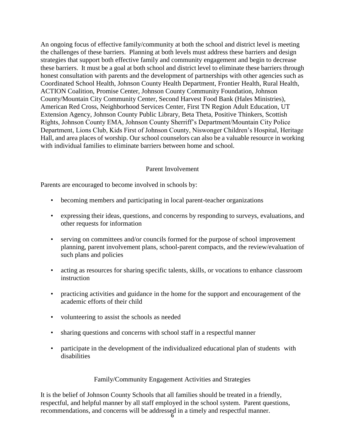An ongoing focus of effective family/community at both the school and district level is meeting the challenges of these barriers. Planning at both levels must address these barriers and design strategies that support both effective family and community engagement and begin to decrease these barriers. It must be a goal at both school and district level to eliminate these barriers through honest consultation with parents and the development of partnerships with other agencies such as Coordinated School Health, Johnson County Health Department, Frontier Health, Rural Health, ACTION Coalition, Promise Center, Johnson County Community Foundation, Johnson County/Mountain City Community Center, Second Harvest Food Bank (Hales Ministries), American Red Cross, Neighborhood Services Center, First TN Region Adult Education, UT Extension Agency, Johnson County Public Library, Beta Theta, Positive Thinkers, Scottish Rights, Johnson County EMA, Johnson County Sherriff's Department/Mountain City Police Department, Lions Club, Kids First of Johnson County, Niswonger Children's Hospital, Heritage Hall, and area places of worship. Our school counselors can also be a valuable resource in working with individual families to eliminate barriers between home and school.

#### Parent Involvement

Parents are encouraged to become involved in schools by:

- becoming members and participating in local parent-teacher organizations
- expressing their ideas, questions, and concerns by responding to surveys, evaluations, and other requests for information
- serving on committees and/or councils formed for the purpose of school improvement planning, parent involvement plans, school-parent compacts, and the review/evaluation of such plans and policies
- acting as resources for sharing specific talents, skills, or vocations to enhance classroom instruction
- practicing activities and guidance in the home for the support and encouragement of the academic efforts of their child
- volunteering to assist the schools as needed
- sharing questions and concerns with school staff in a respectful manner
- participate in the development of the individualized educational plan of students with disabilities

#### Family/Community Engagement Activities and Strategies

It is the belief of Johnson County Schools that all families should be treated in a friendly, respectful, and helpful manner by all staff employed in the school system. Parent questions, recommendations, and concerns will be addressed in a timely and respectful manner.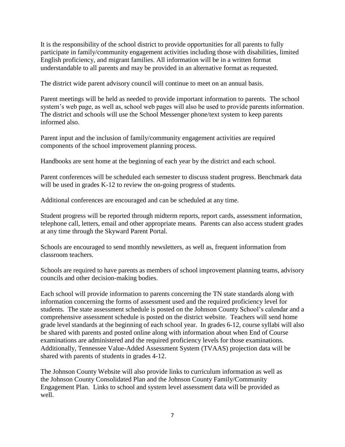It is the responsibility of the school district to provide opportunities for all parents to fully participate in family/community engagement activities including those with disabilities, limited English proficiency, and migrant families. All information will be in a written format understandable to all parents and may be provided in an alternative format as requested.

The district wide parent advisory council will continue to meet on an annual basis.

Parent meetings will be held as needed to provide important information to parents. The school system's web page, as well as, school web pages will also be used to provide parents information. The district and schools will use the School Messenger phone/text system to keep parents informed also.

Parent input and the inclusion of family/community engagement activities are required components of the school improvement planning process.

Handbooks are sent home at the beginning of each year by the district and each school.

Parent conferences will be scheduled each semester to discuss student progress. Benchmark data will be used in grades K-12 to review the on-going progress of students.

Additional conferences are encouraged and can be scheduled at any time.

Student progress will be reported through midterm reports, report cards, assessment information, telephone call, letters, email and other appropriate means. Parents can also access student grades at any time through the Skyward Parent Portal.

Schools are encouraged to send monthly newsletters, as well as, frequent information from classroom teachers.

Schools are required to have parents as members of school improvement planning teams, advisory councils and other decision-making bodies.

Each school will provide information to parents concerning the TN state standards along with information concerning the forms of assessment used and the required proficiency level for students. The state assessment schedule is posted on the Johnson County School's calendar and a comprehensive assessment schedule is posted on the district website. Teachers will send home grade level standards at the beginning of each school year. In grades 6-12, course syllabi will also be shared with parents and posted online along with information about when End of Course examinations are administered and the required proficiency levels for those examinations. Additionally, Tennessee Value-Added Assessment System (TVAAS) projection data will be shared with parents of students in grades 4-12.

The Johnson County Website will also provide links to curriculum information as well as the Johnson County Consolidated Plan and the Johnson County Family/Community Engagement Plan. Links to school and system level assessment data will be provided as well.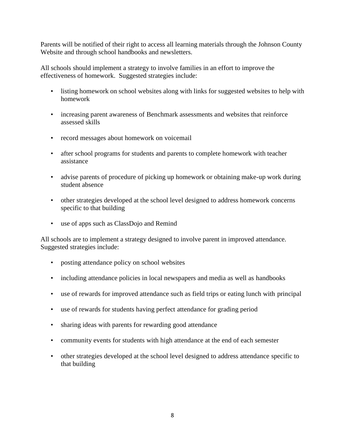Parents will be notified of their right to access all learning materials through the Johnson County Website and through school handbooks and newsletters.

All schools should implement a strategy to involve families in an effort to improve the effectiveness of homework. Suggested strategies include:

- listing homework on school websites along with links for suggested websites to help with homework
- increasing parent awareness of Benchmark assessments and websites that reinforce assessed skills
- record messages about homework on voicemail
- after school programs for students and parents to complete homework with teacher assistance
- advise parents of procedure of picking up homework or obtaining make-up work during student absence
- other strategies developed at the school level designed to address homework concerns specific to that building
- use of apps such as ClassDojo and Remind

All schools are to implement a strategy designed to involve parent in improved attendance. Suggested strategies include:

- posting attendance policy on school websites
- including attendance policies in local newspapers and media as well as handbooks
- use of rewards for improved attendance such as field trips or eating lunch with principal
- use of rewards for students having perfect attendance for grading period
- sharing ideas with parents for rewarding good attendance
- community events for students with high attendance at the end of each semester
- other strategies developed at the school level designed to address attendance specific to that building